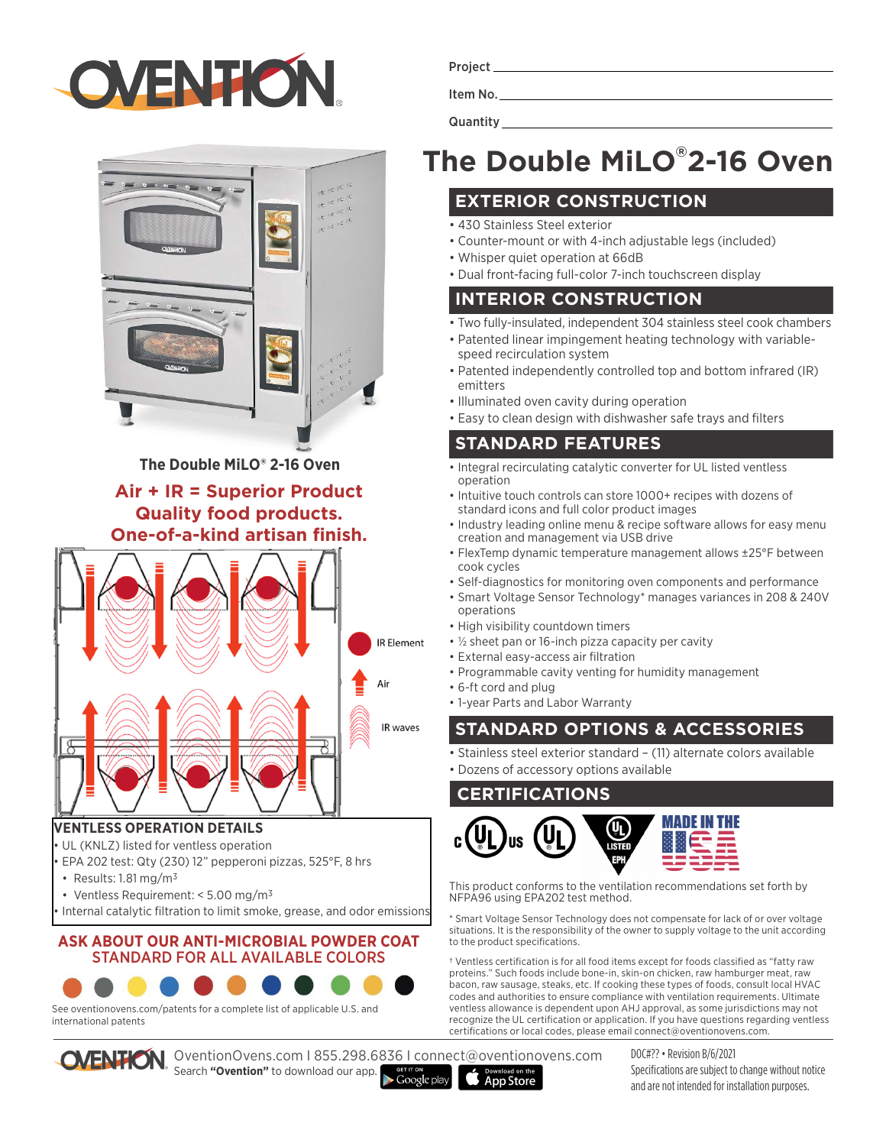



**The Double MiLO® 2-16 Oven**

## **Air + IR = Superior Product Quality food products. One-of-a-kind artisan finish.**



#### **VENTLESS OPERATION DETAILS**

- UL (KNLZ) listed for ventless operation
- EPA 202 test: Qty (230) 12" pepperoni pizzas, 525°F, 8 hrs
- Results: 1.81 mg/m3
- Ventless Requirement: < 5.00 mg/m3
- Internal catalytic filtration to limit smoke, grease, and odor emissions

#### **ASK ABOUT OUR ANTI-MICROBIAL POWDER COAT**  STANDARD FOR ALL AVAILABLE COLORS



See oventionovens.com/patents for a complete list of applicable U.S. and international patents



OventionOvens.com I 855.298.6836 I connect@oventionovens.com Search **"Ovention"** to download our app.

Project Item No.

**Quantity Quantity** 

# **The Double MiLO® 2-16 Oven**

#### **EXTERIOR CONSTRUCTION**

- 430 Stainless Steel exterior
- Counter-mount or with 4-inch adjustable legs (included)
- Whisper quiet operation at 66dB
- Dual front-facing full-color 7-inch touchscreen display

#### **INTERIOR CONSTRUCTION**

- Two fully-insulated, independent 304 stainless steel cook chambers
- Patented linear impingement heating technology with variablespeed recirculation system
- Patented independently controlled top and bottom infrared (IR) emitters
- Illuminated oven cavity during operation
- Easy to clean design with dishwasher safe trays and filters

#### **STANDARD FEATURES**

- Integral recirculating catalytic converter for UL listed ventless operation
- Intuitive touch controls can store 1000+ recipes with dozens of standard icons and full color product images
- Industry leading online menu & recipe software allows for easy menu creation and management via USB drive
- FlexTemp dynamic temperature management allows ±25°F between cook cycles
- Self-diagnostics for monitoring oven components and performance
- Smart Voltage Sensor Technology\* manages variances in 208 & 240V operations
- High visibility countdown timers
- ½ sheet pan or 16-inch pizza capacity per cavity
- External easy-access air filtration
- Programmable cavity venting for humidity management
- 6-ft cord and plug
- 1-year Parts and Labor Warranty

## **STANDARD OPTIONS & ACCESSORIES**

• Stainless steel exterior standard – (11) alternate colors available

• Dozens of accessory options available

#### **CERTIFICATIONS**



This product conforms to the ventilation recommendations set forth by NFPA96 using EPA202 test method.

\* Smart Voltage Sensor Technology does not compensate for lack of or over voltage situations. It is the responsibility of the owner to supply voltage to the unit according to the product specifications.

† Ventless certification is for all food items except for foods classified as "fatty raw proteins." Such foods include bone-in, skin-on chicken, raw hamburger meat, raw bacon, raw sausage, steaks, etc. If cooking these types of foods, consult local HVAC codes and authorities to ensure compliance with ventilation requirements. Ultimate ventless allowance is dependent upon AHJ approval, as some jurisdictions may not recognize the UL certification or application. If you have questions regarding ventless certifications or local codes, please email connect@oventionovens.com.

> DOC#?? • Revision B/6/2021 Specifications are subject to change without notice and are not intended for installation purposes.

Google play **App Store**